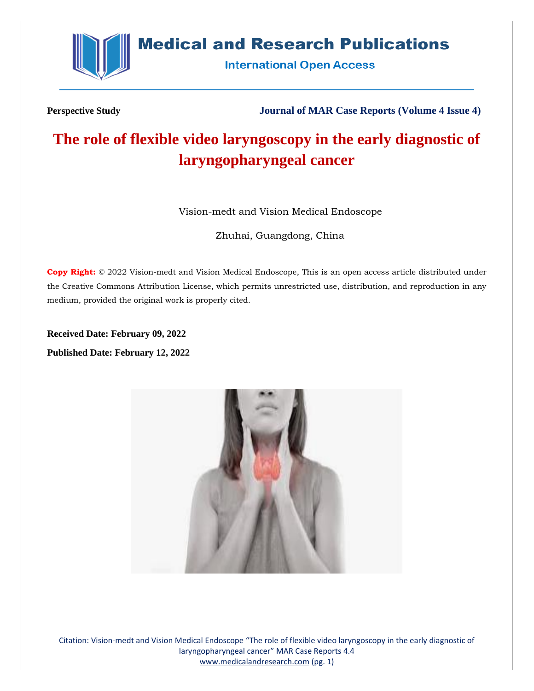

## **Medical and Research Publications**

**International Open Access** 

**Perspective Study Journal of MAR Case Reports (Volume 4 Issue 4)**

# **The role of flexible video laryngoscopy in the early diagnostic of laryngopharyngeal cancer**

Vision-medt and Vision Medical Endoscope

Zhuhai, Guangdong, China

**Copy Right:** © 2022 Vision-medt and Vision Medical Endoscope, This is an open access article distributed under the Creative Commons Attribution License, which permits unrestricted use, distribution, and reproduction in any medium, provided the original work is properly cited.

**Received Date: February 09, 2022 Published Date: February 12, 2022**



Citation: Vision-medt and Vision Medical Endoscope "The role of flexible video laryngoscopy in the early diagnostic of laryngopharyngeal cancer" MAR Case Reports 4.4 [www.medicalandresearch.com](http://www.medicalandresearch.com/) (pg. 1)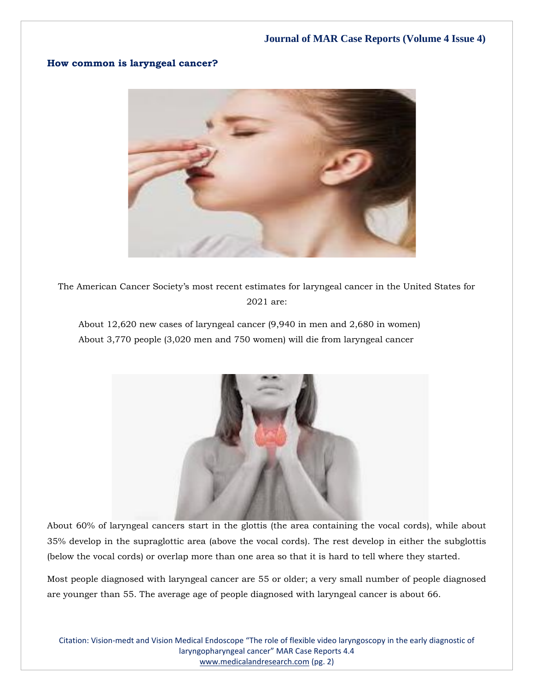#### **How common is laryngeal cancer?**



The American Cancer Society's most recent estimates for laryngeal cancer in the United States for 2021 are:

About 12,620 new cases of laryngeal cancer (9,940 in men and 2,680 in women) About 3,770 people (3,020 men and 750 women) will die from laryngeal cancer



About 60% of laryngeal cancers start in the glottis (the area containing the vocal cords), while about 35% develop in the supraglottic area (above the vocal cords). The rest develop in either the subglottis (below the vocal cords) or overlap more than one area so that it is hard to tell where they started.

Most people diagnosed with laryngeal cancer are 55 or older; a very small number of people diagnosed are younger than 55. The average age of people diagnosed with laryngeal cancer is about 66.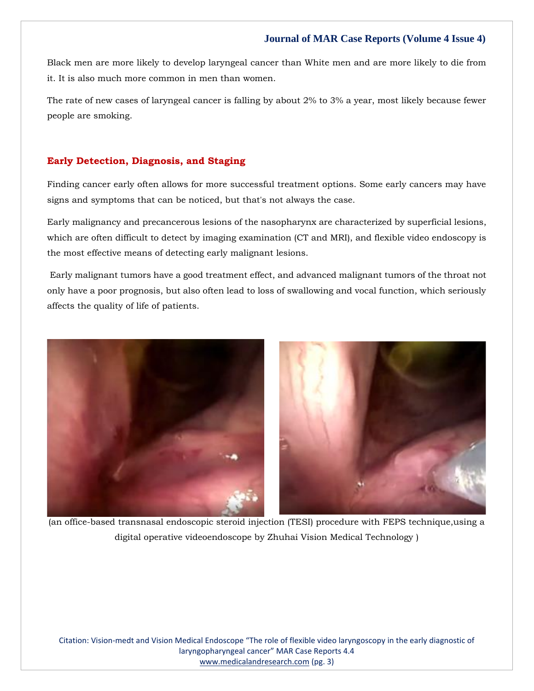#### **Journal of MAR Case Reports (Volume 4 Issue 4)**

Black men are more likely to develop laryngeal cancer than White men and are more likely to die from it. It is also much more common in men than women.

The rate of new cases of laryngeal cancer is falling by about 2% to 3% a year, most likely because fewer people are smoking.

#### **Early Detection, Diagnosis, and Staging**

Finding cancer early often allows for more successful treatment options. Some early cancers may have signs and symptoms that can be noticed, but that's not always the case.

Early malignancy and precancerous lesions of the nasopharynx are characterized by superficial lesions, which are often difficult to detect by imaging examination (CT and MRI), and flexible video endoscopy is the most effective means of detecting early malignant lesions.

Early malignant tumors have a good treatment effect, and advanced malignant tumors of the throat not only have a poor prognosis, but also often lead to loss of swallowing and vocal function, which seriously affects the quality of life of patients.



(an office-based transnasal endoscopic steroid injection (TESI) procedure with FEPS technique,using a digital operative videoendoscope by Zhuhai Vision Medical Technology )

Citation: Vision-medt and Vision Medical Endoscope "The role of flexible video laryngoscopy in the early diagnostic of laryngopharyngeal cancer" MAR Case Reports 4.4 [www.medicalandresearch.com](http://www.medicalandresearch.com/) (pg. 3)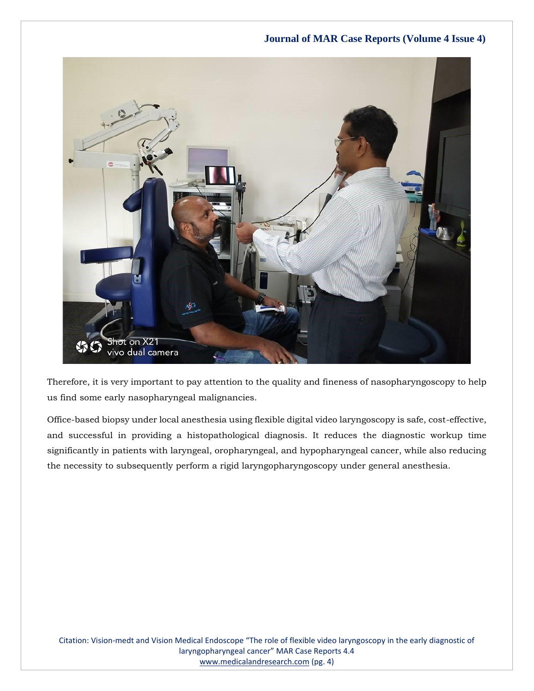### **Journal of MAR Case Reports (Volume 4 Issue 4)**



Therefore, it is very important to pay attention to the quality and fineness of nasopharyngoscopy to help us find some early nasopharyngeal malignancies.

Office-based biopsy under local anesthesia using flexible digital video laryngoscopy is safe, cost-effective, and successful in providing a histopathological diagnosis. It reduces the diagnostic workup time significantly in patients with laryngeal, oropharyngeal, and hypopharyngeal cancer, while also reducing the necessity to subsequently perform a rigid laryngopharyngoscopy under general anesthesia.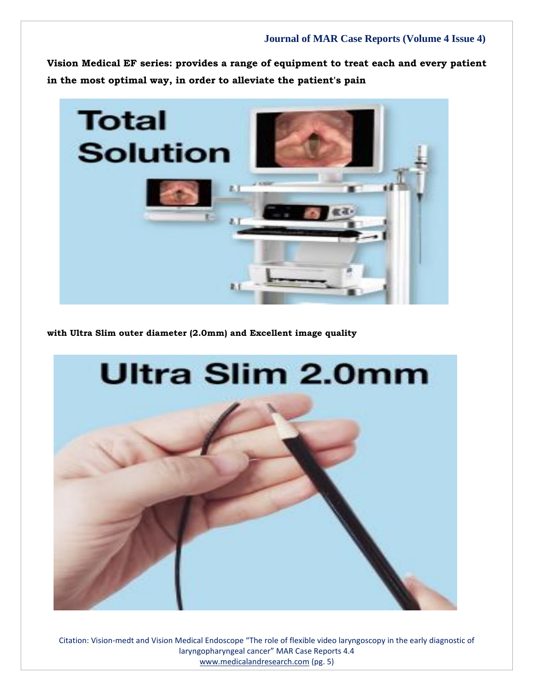**Vision Medical EF series: provides a range of equipment to treat each and every patient in the most optimal way, in order to alleviate the patient's pain**



**with Ultra Slim outer diameter (2.0mm) and Excellent image quality**



Citation: Vision-medt and Vision Medical Endoscope "The role of flexible video laryngoscopy in the early diagnostic of laryngopharyngeal cancer" MAR Case Reports 4.4 [www.medicalandresearch.com](http://www.medicalandresearch.com/) (pg. 5)